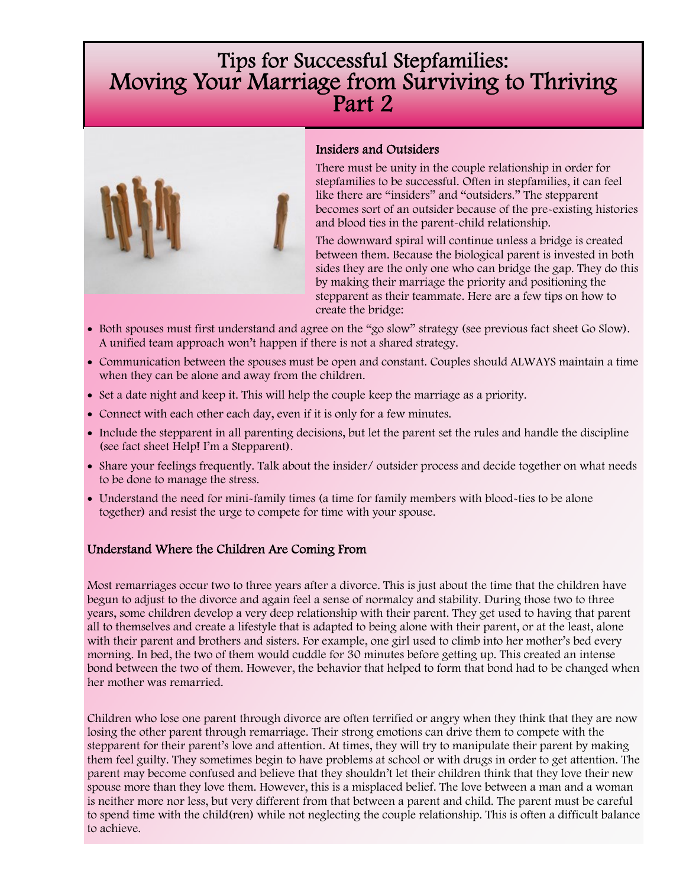# Tips for Successful Stepfamilies: Moving Your Marriage from Surviving to Thriving Part 2



#### Insiders and Outsiders

There must be unity in the couple relationship in order for stepfamilies to be successful. Often in stepfamilies, it can feel like there are "insiders" and "outsiders." The stepparent becomes sort of an outsider because of the pre-existing histories and blood ties in the parent-child relationship.

The downward spiral will continue unless a bridge is created between them. Because the biological parent is invested in both sides they are the only one who can bridge the gap. They do this by making their marriage the priority and positioning the stepparent as their teammate. Here are a few tips on how to create the bridge:

- Both spouses must first understand and agree on the "go slow" strategy (see previous fact sheet Go Slow). A unified team approach won't happen if there is not a shared strategy.
- Communication between the spouses must be open and constant. Couples should ALWAYS maintain a time when they can be alone and away from the children.
- Set a date night and keep it. This will help the couple keep the marriage as a priority.
- Connect with each other each day, even if it is only for a few minutes.
- Include the stepparent in all parenting decisions, but let the parent set the rules and handle the discipline (see fact sheet Help! I'm a Stepparent).
- Share your feelings frequently. Talk about the insider/ outsider process and decide together on what needs to be done to manage the stress.
- Understand the need for mini-family times (a time for family members with blood-ties to be alone together) and resist the urge to compete for time with your spouse.

#### Understand Where the Children Are Coming From

Most remarriages occur two to three years after a divorce. This is just about the time that the children have begun to adjust to the divorce and again feel a sense of normalcy and stability. During those two to three years, some children develop a very deep relationship with their parent. They get used to having that parent all to themselves and create a lifestyle that is adapted to being alone with their parent, or at the least, alone with their parent and brothers and sisters. For example, one girl used to climb into her mother's bed every morning. In bed, the two of them would cuddle for 30 minutes before getting up. This created an intense bond between the two of them. However, the behavior that helped to form that bond had to be changed when her mother was remarried.

Children who lose one parent through divorce are often terrified or angry when they think that they are now losing the other parent through remarriage. Their strong emotions can drive them to compete with the stepparent for their parent's love and attention. At times, they will try to manipulate their parent by making them feel guilty. They sometimes begin to have problems at school or with drugs in order to get attention. The parent may become confused and believe that they shouldn't let their children think that they love their new spouse more than they love them. However, this is a misplaced belief. The love between a man and a woman is neither more nor less, but very different from that between a parent and child. The parent must be careful to spend time with the child(ren) while not neglecting the couple relationship. This is often a difficult balance to achieve.